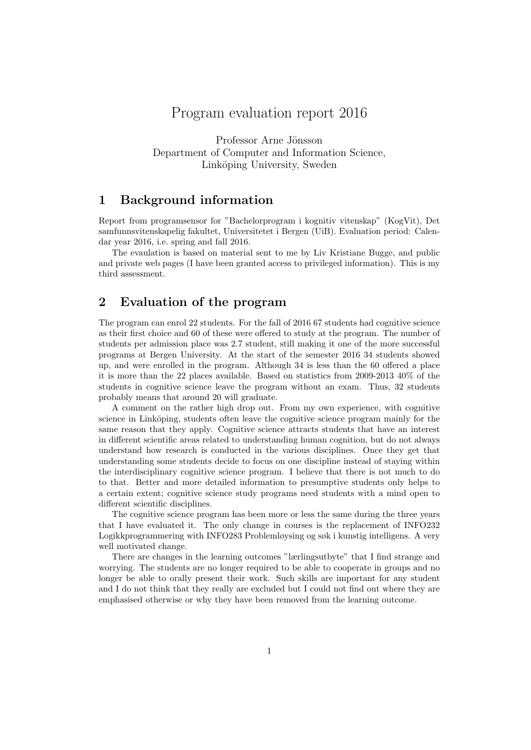# Program evaluation report 2016

Professor Arne Jönsson Department of Computer and Information Science, Linköping University, Sweden

## 1 Background information

Report from programsensor for "Bachelorprogram i kognitiv vitenskap" (KogVit), Det samfunnsvitenskapelig fakultet, Universitetet i Bergen (UiB). Evaluation period: Calendar year 2016, i.e. spring and fall 2016.

The evaulation is based on material sent to me by Liv Kristiane Bugge, and public and private web pages (I have been granted access to privileged information). This is my third assessment.

# 2 Evaluation of the program

The program can enrol 22 students. For the fall of 2016 67 students had cognitive science as their first choice and 60 of these were offered to study at the program. The number of students per admission place was 2.7 student, still making it one of the more successful programs at Bergen University. At the start of the semester 2016 34 students showed up, and were enrolled in the program. Although 34 is less than the 60 offered a place it is more than the 22 places available. Based on statistics from 2009-2013 40% of the students in cognitive science leave the program without an exam. Thus, 32 students probably means that around 20 will graduate.

A comment on the rather high drop out. From my own experience, with cognitive science in Linköping, students often leave the cognitive science program mainly for the same reason that they apply. Cognitive science attracts students that have an interest in different scientific areas related to understanding human cognition, but do not always understand how research is conducted in the various disciplines. Once they get that understanding some students decide to focus on one discipline instead of staying within the interdisciplinary cognitive science program. I believe that there is not much to do to that. Better and more detailed information to presumptive students only helps to a certain extent; cognitive science study programs need students with a mind open to different scientific disciplines.

The cognitive science program has been more or less the same during the three years that I have evaluated it. The only change in courses is the replacement of INFO232 Logikkprogrammering with INFO283 Problemløysing og søk i kunstig intelligens. A very well motivated change.

There are changes in the learning outcomes "lærlingsutbyte" that I find strange and worrying. The students are no longer required to be able to cooperate in groups and no longer be able to orally present their work. Such skills are important for any student and I do not think that they really are excluded but I could not find out where they are emphasised otherwise or why they have been removed from the learning outcome.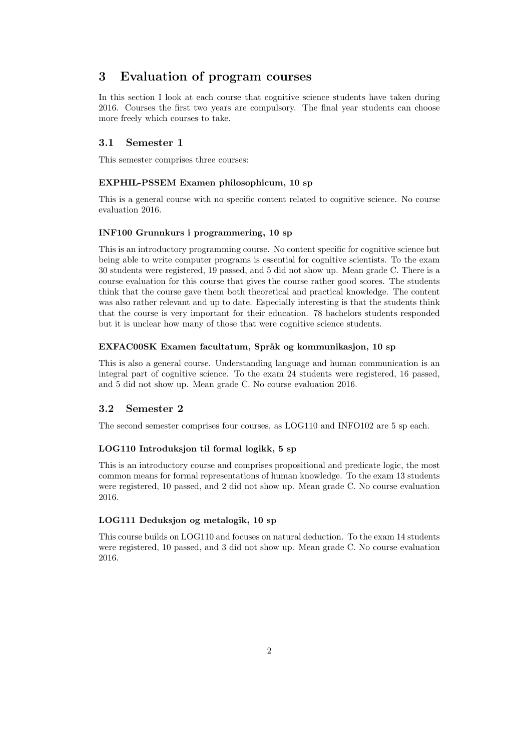# 3 Evaluation of program courses

In this section I look at each course that cognitive science students have taken during 2016. Courses the first two years are compulsory. The final year students can choose more freely which courses to take.

## 3.1 Semester 1

This semester comprises three courses:

## EXPHIL-PSSEM Examen philosophicum, 10 sp

This is a general course with no specific content related to cognitive science. No course evaluation 2016.

## INF100 Grunnkurs i programmering, 10 sp

This is an introductory programming course. No content specific for cognitive science but being able to write computer programs is essential for cognitive scientists. To the exam 30 students were registered, 19 passed, and 5 did not show up. Mean grade C. There is a course evaluation for this course that gives the course rather good scores. The students think that the course gave them both theoretical and practical knowledge. The content was also rather relevant and up to date. Especially interesting is that the students think that the course is very important for their education. 78 bachelors students responded but it is unclear how many of those that were cognitive science students.

#### EXFAC00SK Examen facultatum, Språk og kommunikasjon, 10 sp

This is also a general course. Understanding language and human communication is an integral part of cognitive science. To the exam 24 students were registered, 16 passed, and 5 did not show up. Mean grade C. No course evaluation 2016.

## 3.2 Semester 2

The second semester comprises four courses, as LOG110 and INFO102 are 5 sp each.

#### LOG110 Introduksjon til formal logikk, 5 sp

This is an introductory course and comprises propositional and predicate logic, the most common means for formal representations of human knowledge. To the exam 13 students were registered, 10 passed, and 2 did not show up. Mean grade C. No course evaluation 2016.

## LOG111 Deduksjon og metalogik, 10 sp

This course builds on LOG110 and focuses on natural deduction. To the exam 14 students were registered, 10 passed, and 3 did not show up. Mean grade C. No course evaluation 2016.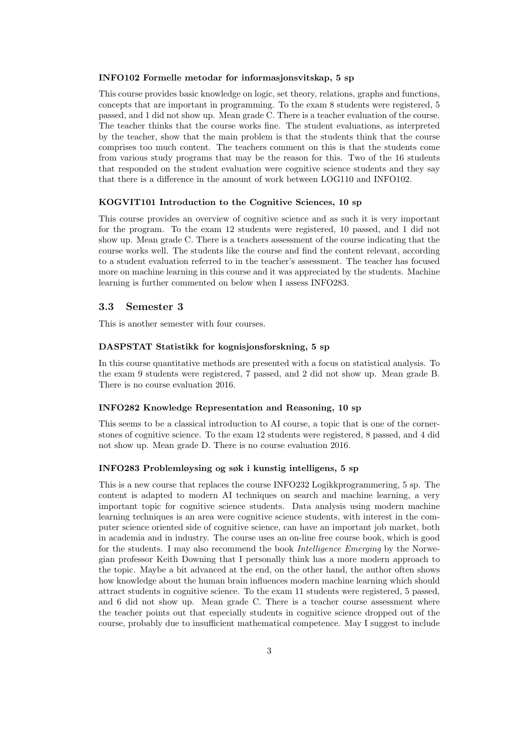#### INFO102 Formelle metodar for informasjonsvitskap, 5 sp

This course provides basic knowledge on logic, set theory, relations, graphs and functions, concepts that are important in programming. To the exam 8 students were registered, 5 passed, and 1 did not show up. Mean grade C. There is a teacher evaluation of the course. The teacher thinks that the course works fine. The student evaluations, as interpreted by the teacher, show that the main problem is that the students think that the course comprises too much content. The teachers comment on this is that the students come from various study programs that may be the reason for this. Two of the 16 students that responded on the student evaluation were cognitive science students and they say that there is a difference in the amount of work between LOG110 and INFO102.

#### KOGVIT101 Introduction to the Cognitive Sciences, 10 sp

This course provides an overview of cognitive science and as such it is very important for the program. To the exam 12 students were registered, 10 passed, and 1 did not show up. Mean grade C. There is a teachers assessment of the course indicating that the course works well. The students like the course and find the content relevant, according to a student evaluation referred to in the teacher's assessment. The teacher has focused more on machine learning in this course and it was appreciated by the students. Machine learning is further commented on below when I assess INFO283.

#### 3.3 Semester 3

This is another semester with four courses.

### DASPSTAT Statistikk for kognisjonsforskning, 5 sp

In this course quantitative methods are presented with a focus on statistical analysis. To the exam 9 students were registered, 7 passed, and 2 did not show up. Mean grade B. There is no course evaluation 2016.

## INFO282 Knowledge Representation and Reasoning, 10 sp

This seems to be a classical introduction to AI course, a topic that is one of the cornerstones of cognitive science. To the exam 12 students were registered, 8 passed, and 4 did not show up. Mean grade D. There is no course evaluation 2016.

### INFO283 Problemløysing og søk i kunstig intelligens, 5 sp

This is a new course that replaces the course INFO232 Logikkprogrammering, 5 sp. The content is adapted to modern AI techniques on search and machine learning, a very important topic for cognitive science students. Data analysis using modern machine learning techniques is an area were cognitive science students, with interest in the computer science oriented side of cognitive science, can have an important job market, both in academia and in industry. The course uses an on-line free course book, which is good for the students. I may also recommend the book Intelligence Emerging by the Norwegian professor Keith Downing that I personally think has a more modern approach to the topic. Maybe a bit advanced at the end, on the other hand, the author often shows how knowledge about the human brain influences modern machine learning which should attract students in cognitive science. To the exam 11 students were registered, 5 passed, and 6 did not show up. Mean grade C. There is a teacher course assessment where the teacher points out that especially students in cognitive science dropped out of the course, probably due to insufficient mathematical competence. May I suggest to include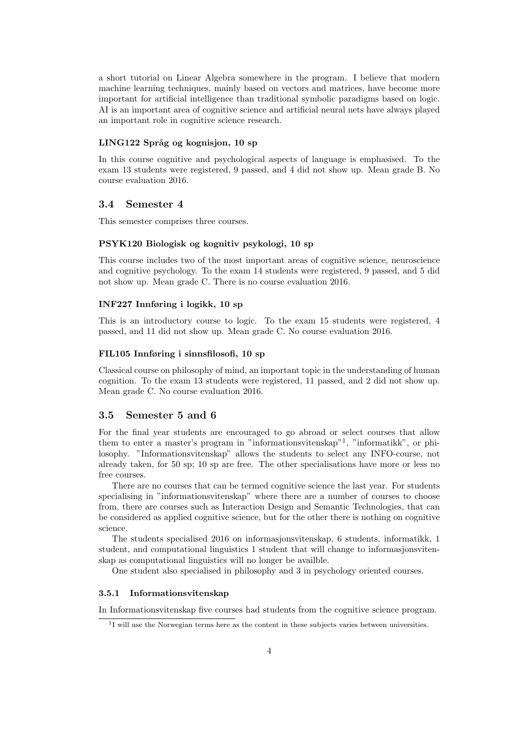a short tutorial on Linear Algebra somewhere in the program. I believe that modern machine learning techniques, mainly based on vectors and matrices, have become more important for artificial intelligence than traditional symbolic paradigms based on logic. AI is an important area of cognitive science and artificial neural nets have always played an important role in cognitive science research.

#### LING122 Språg og kognisjon, 10 sp

In this course cognitive and psychological aspects of language is emphasised. To the exam 13 students were registered, 9 passed, and 4 did not show up. Mean grade B. No course evaluation 2016.

## 3.4 Semester 4

This semester comprises three courses.

#### PSYK120 Biologisk og kognitiv psykologi, 10 sp

This course includes two of the most important areas of cognitive science, neuroscience and cognitive psychology. To the exam 14 students were registered, 9 passed, and 5 did not show up. Mean grade C. There is no course evaluation 2016.

#### INF227 Innføring i logikk, 10 sp

This is an introductory course to logic. To the exam 15 students were registered, 4 passed, and 11 did not show up. Mean grade C. No course evaluation 2016.

#### FIL105 Innføring i sinnsfilosofi, 10 sp

Classical course on philosophy of mind, an important topic in the understanding of human cognition. To the exam 13 students were registered, 11 passed, and 2 did not show up. Mean grade C. No course evaluation 2016.

## 3.5 Semester 5 and 6

For the final year students are encouraged to go abroad or select courses that allow them to enter a master's program in "informationsvitenskap"<sup>1</sup> , "informatikk", or philosophy. "Informationsvitenskap" allows the students to select any INFO-course, not already taken, for 50 sp; 10 sp are free. The other specialisations have more or less no free courses.

There are no courses that can be termed cognitive science the last year. For students specialising in "informationsvitenskap" where there are a number of courses to choose from, there are courses such as Interaction Design and Semantic Technologies, that can be considered as applied cognitive science, but for the other there is nothing on cognitive science.

The students specialised 2016 on informasjonsvitenskap, 6 students, informatikk, 1 student, and computational linguistics 1 student that will change to informasjonsvitenskap as computational linguistics will no longer be availble.

One student also specialised in philosophy and 3 in psychology oriented courses.

#### 3.5.1 Informationsvitenskap

In Informationsvitenskap five courses had students from the cognitive science program.

<sup>&</sup>lt;sup>1</sup>I will use the Norwegian terms here as the content in these subjects varies between universities.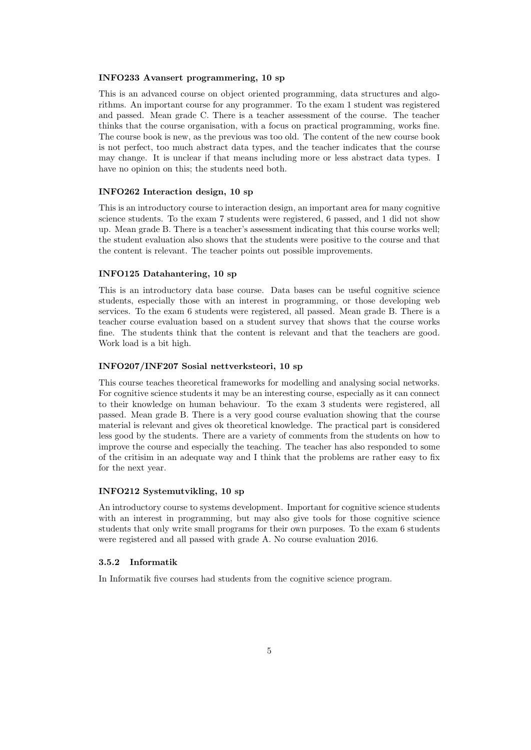#### INFO233 Avansert programmering, 10 sp

This is an advanced course on object oriented programming, data structures and algorithms. An important course for any programmer. To the exam 1 student was registered and passed. Mean grade C. There is a teacher assessment of the course. The teacher thinks that the course organisation, with a focus on practical programming, works fine. The course book is new, as the previous was too old. The content of the new course book is not perfect, too much abstract data types, and the teacher indicates that the course may change. It is unclear if that means including more or less abstract data types. I have no opinion on this; the students need both.

#### INFO262 Interaction design, 10 sp

This is an introductory course to interaction design, an important area for many cognitive science students. To the exam 7 students were registered, 6 passed, and 1 did not show up. Mean grade B. There is a teacher's assessment indicating that this course works well; the student evaluation also shows that the students were positive to the course and that the content is relevant. The teacher points out possible improvements.

#### INFO125 Datahantering, 10 sp

This is an introductory data base course. Data bases can be useful cognitive science students, especially those with an interest in programming, or those developing web services. To the exam 6 students were registered, all passed. Mean grade B. There is a teacher course evaluation based on a student survey that shows that the course works fine. The students think that the content is relevant and that the teachers are good. Work load is a bit high.

#### INFO207/INF207 Sosial nettverksteori, 10 sp

This course teaches theoretical frameworks for modelling and analysing social networks. For cognitive science students it may be an interesting course, especially as it can connect to their knowledge on human behaviour. To the exam 3 students were registered, all passed. Mean grade B. There is a very good course evaluation showing that the course material is relevant and gives ok theoretical knowledge. The practical part is considered less good by the students. There are a variety of comments from the students on how to improve the course and especially the teaching. The teacher has also responded to some of the critisim in an adequate way and I think that the problems are rather easy to fix for the next year.

#### INFO212 Systemutvikling, 10 sp

An introductory course to systems development. Important for cognitive science students with an interest in programming, but may also give tools for those cognitive science students that only write small programs for their own purposes. To the exam 6 students were registered and all passed with grade A. No course evaluation 2016.

### 3.5.2 Informatik

In Informatik five courses had students from the cognitive science program.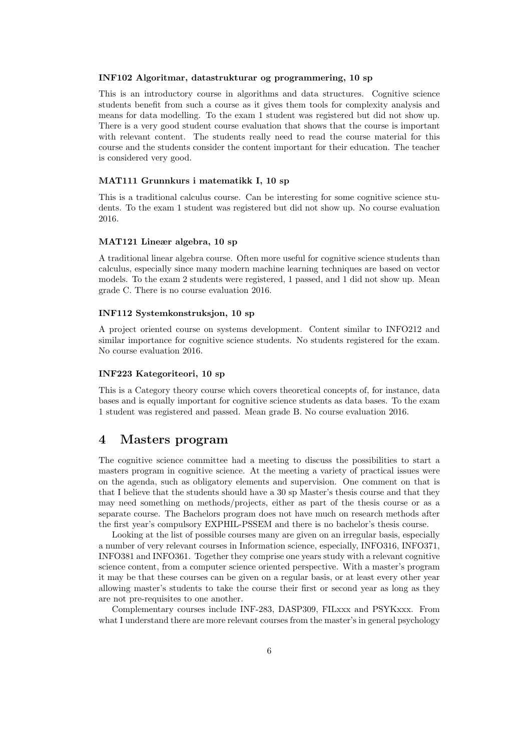#### INF102 Algoritmar, datastrukturar og programmering, 10 sp

This is an introductory course in algorithms and data structures. Cognitive science students benefit from such a course as it gives them tools for complexity analysis and means for data modelling. To the exam 1 student was registered but did not show up. There is a very good student course evaluation that shows that the course is important with relevant content. The students really need to read the course material for this course and the students consider the content important for their education. The teacher is considered very good.

#### MAT111 Grunnkurs i matematikk I, 10 sp

This is a traditional calculus course. Can be interesting for some cognitive science students. To the exam 1 student was registered but did not show up. No course evaluation 2016.

#### MAT121 Lineær algebra, 10 sp

A traditional linear algebra course. Often more useful for cognitive science students than calculus, especially since many modern machine learning techniques are based on vector models. To the exam 2 students were registered, 1 passed, and 1 did not show up. Mean grade C. There is no course evaluation 2016.

#### INF112 Systemkonstruksjon, 10 sp

A project oriented course on systems development. Content similar to INFO212 and similar importance for cognitive science students. No students registered for the exam. No course evaluation 2016.

#### INF223 Kategoriteori, 10 sp

This is a Category theory course which covers theoretical concepts of, for instance, data bases and is equally important for cognitive science students as data bases. To the exam 1 student was registered and passed. Mean grade B. No course evaluation 2016.

## 4 Masters program

The cognitive science committee had a meeting to discuss the possibilities to start a masters program in cognitive science. At the meeting a variety of practical issues were on the agenda, such as obligatory elements and supervision. One comment on that is that I believe that the students should have a 30 sp Master's thesis course and that they may need something on methods/projects, either as part of the thesis course or as a separate course. The Bachelors program does not have much on research methods after the first year's compulsory EXPHIL-PSSEM and there is no bachelor's thesis course.

Looking at the list of possible courses many are given on an irregular basis, especially a number of very relevant courses in Information science, especially, INFO316, INFO371, INFO381 and INFO361. Together they comprise one years study with a relevant cognitive science content, from a computer science oriented perspective. With a master's program it may be that these courses can be given on a regular basis, or at least every other year allowing master's students to take the course their first or second year as long as they are not pre-requisites to one another.

Complementary courses include INF-283, DASP309, FILxxx and PSYKxxx. From what I understand there are more relevant courses from the master's in general psychology